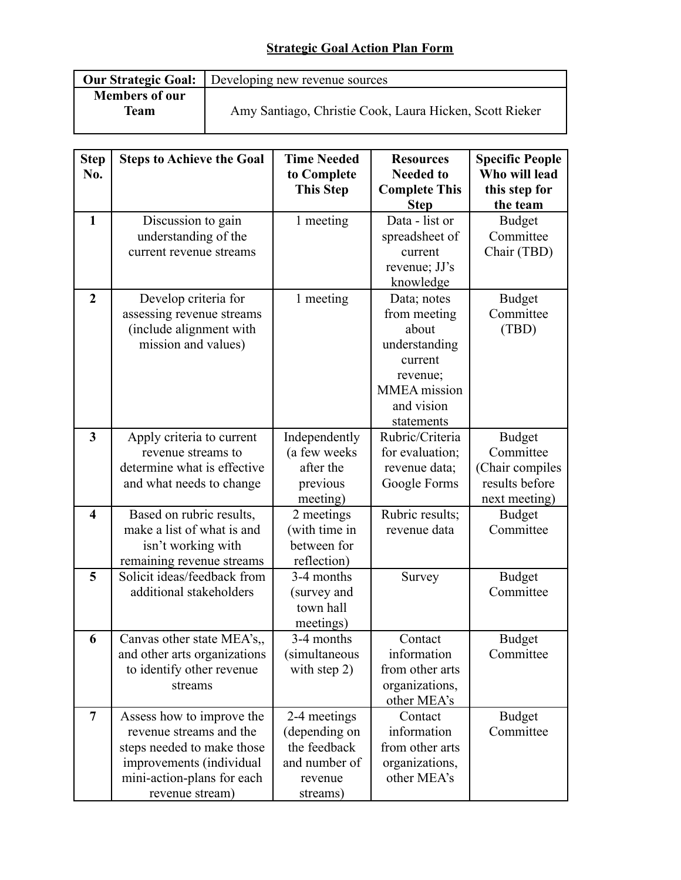## **Strategic Goal Action Plan Form**

|                                      | <b>Our Strategic Goal:</b> Developing new revenue sources |  |  |  |
|--------------------------------------|-----------------------------------------------------------|--|--|--|
| <b>Members of our</b><br><b>Team</b> | Amy Santiago, Christie Cook, Laura Hicken, Scott Rieker   |  |  |  |

| <b>Step</b><br>No.      | <b>Steps to Achieve the Goal</b>                                                                                                                                | <b>Time Needed</b><br>to Complete<br><b>This Step</b>                                 | <b>Resources</b><br><b>Needed to</b><br><b>Complete This</b>                                                                    | <b>Specific People</b><br>Who will lead<br>this step for                         |
|-------------------------|-----------------------------------------------------------------------------------------------------------------------------------------------------------------|---------------------------------------------------------------------------------------|---------------------------------------------------------------------------------------------------------------------------------|----------------------------------------------------------------------------------|
|                         |                                                                                                                                                                 |                                                                                       | <b>Step</b>                                                                                                                     | the team                                                                         |
| $\mathbf{1}$            | Discussion to gain<br>understanding of the<br>current revenue streams                                                                                           | 1 meeting                                                                             | Data - list or<br>spreadsheet of<br>current<br>revenue; JJ's<br>knowledge                                                       | <b>Budget</b><br>Committee<br>Chair (TBD)                                        |
| $\overline{2}$          | Develop criteria for<br>assessing revenue streams<br>(include alignment with<br>mission and values)                                                             | 1 meeting                                                                             | Data; notes<br>from meeting<br>about<br>understanding<br>current<br>revenue;<br><b>MMEA</b> mission<br>and vision<br>statements | <b>Budget</b><br>Committee<br>(TBD)                                              |
| $\overline{\mathbf{3}}$ | Apply criteria to current<br>revenue streams to<br>determine what is effective<br>and what needs to change                                                      | Independently<br>(a few weeks<br>after the<br>previous<br>meeting)                    | Rubric/Criteria<br>for evaluation;<br>revenue data;<br>Google Forms                                                             | <b>Budget</b><br>Committee<br>(Chair compiles<br>results before<br>next meeting) |
| $\overline{\mathbf{4}}$ | Based on rubric results,<br>make a list of what is and<br>isn't working with<br>remaining revenue streams                                                       | 2 meetings<br>(with time in<br>between for<br>reflection)                             | Rubric results;<br>revenue data                                                                                                 | <b>Budget</b><br>Committee                                                       |
| 5                       | Solicit ideas/feedback from<br>additional stakeholders                                                                                                          | 3-4 months<br>(survey and<br>town hall<br>meetings)                                   | Survey                                                                                                                          | <b>Budget</b><br>Committee                                                       |
| 6                       | Canvas other state MEA's,<br>and other arts organizations<br>to identify other revenue<br>streams                                                               | 3-4 months<br><i>(simultaneous)</i><br>with step 2)                                   | Contact<br>information<br>from other arts<br>organizations,<br>other MEA's                                                      | <b>Budget</b><br>Committee                                                       |
| $\overline{7}$          | Assess how to improve the<br>revenue streams and the<br>steps needed to make those<br>improvements (individual<br>mini-action-plans for each<br>revenue stream) | 2-4 meetings<br>(depending on<br>the feedback<br>and number of<br>revenue<br>streams) | Contact<br>information<br>from other arts<br>organizations,<br>other MEA's                                                      | <b>Budget</b><br>Committee                                                       |